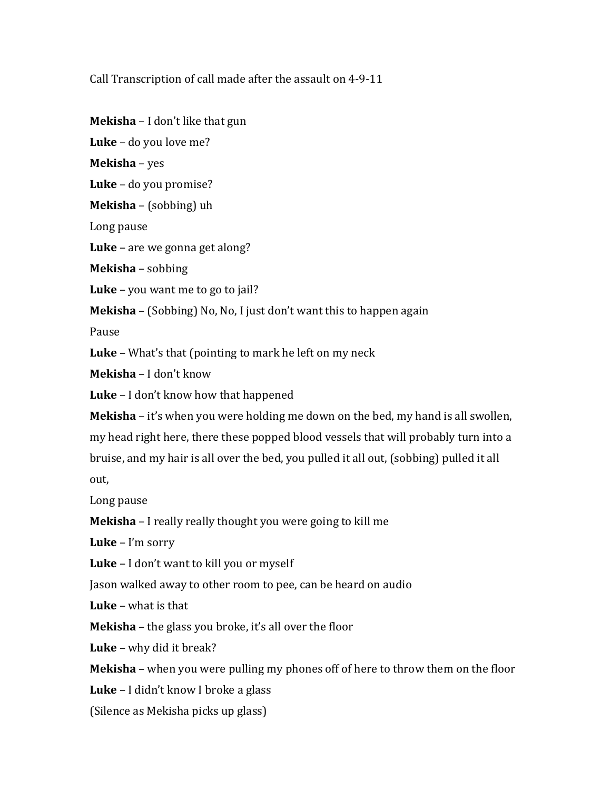Call Transcription of call made after the assault on 4-9-11

**Mekisha** – I don't like that gun

**Luke** – do you love me?

**Mekisha** – yes

**Luke** – do you promise?

**Mekisha** – (sobbing) uh

Long pause

**Luke** – are we gonna get along?

**Mekisha** – sobbing

**Luke** – you want me to go to jail?

**Mekisha** – (Sobbing) No, No, I just don't want this to happen again

Pause

**Luke** – What's that (pointing to mark he left on my neck

**Mekisha** – I don't know

**Luke** – I don't know how that happened

**Mekisha** – it's when you were holding me down on the bed, my hand is all swollen, my head right here, there these popped blood vessels that will probably turn into a bruise, and my hair is all over the bed, you pulled it all out, (sobbing) pulled it all out,

Long pause

**Mekisha** – I really really thought you were going to kill me

**Luke** – I'm sorry

**Luke** – I don't want to kill you or myself

Jason walked away to other room to pee, can be heard on audio

**Luke** – what is that

**Mekisha** – the glass you broke, it's all over the floor

**Luke** – why did it break?

**Mekisha** – when you were pulling my phones off of here to throw them on the floor

**Luke** – I didn't know I broke a glass

(Silence as Mekisha picks up glass)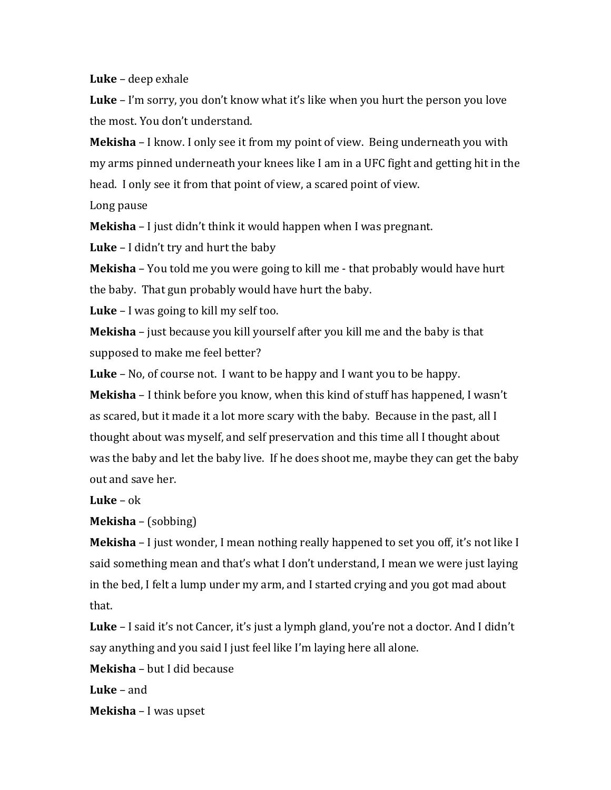**Luke** – deep exhale

**Luke** – I'm sorry, you don't know what it's like when you hurt the person you love the most. You don't understand.

**Mekisha** – I know. I only see it from my point of view. Being underneath you with my arms pinned underneath your knees like I am in a UFC fight and getting hit in the head. I only see it from that point of view, a scared point of view.

Long pause

**Mekisha** – I just didn't think it would happen when I was pregnant.

**Luke** – I didn't try and hurt the baby

**Mekisha** – You told me you were going to kill me - that probably would have hurt the baby. That gun probably would have hurt the baby.

**Luke** – I was going to kill my self too.

**Mekisha** – just because you kill yourself after you kill me and the baby is that supposed to make me feel better?

**Luke** – No, of course not. I want to be happy and I want you to be happy.

**Mekisha** – I think before you know, when this kind of stuff has happened, I wasn't as scared, but it made it a lot more scary with the baby. Because in the past, all I thought about was myself, and self preservation and this time all I thought about was the baby and let the baby live. If he does shoot me, maybe they can get the baby out and save her.

**Luke** – ok

**Mekisha** – (sobbing)

**Mekisha** – I just wonder, I mean nothing really happened to set you off, it's not like I said something mean and that's what I don't understand, I mean we were just laying in the bed, I felt a lump under my arm, and I started crying and you got mad about that.

**Luke** – I said it's not Cancer, it's just a lymph gland, you're not a doctor. And I didn't say anything and you said I just feel like I'm laying here all alone.

**Mekisha** – but I did because

**Luke** – and

**Mekisha** – I was upset